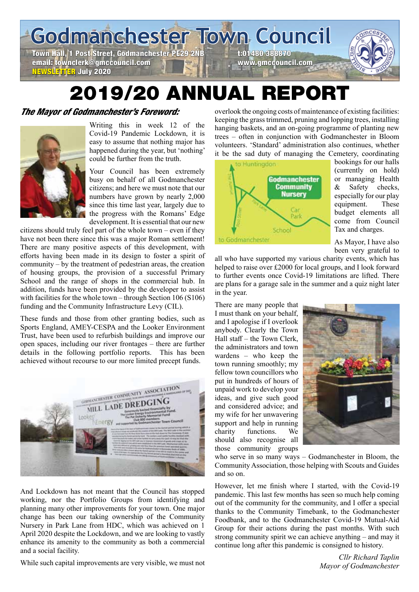**Godmanchester Town Council**

Town Hall, 1 Post Street, Godmanchester PE29 2NB t:01480 388870 email: townclerk@gmccouncil.com www.gmccouncil.com NEWSLETTER July 2020

# 2019/20 ANNUAL REPORT

# The Mayor of Godmanchester's Foreword:



Writing this in week 12 of the Covid-19 Pandemic Lockdown, it is easy to assume that nothing major has happened during the year, but 'nothing' could be further from the truth.

Your Council has been extremely busy on behalf of all Godmanchester citizens; and here we must note that our numbers have grown by nearly 2,000 since this time last year, largely due to the progress with the Romans' Edge development. It is essential that our new

citizens should truly feel part of the whole town – even if they have not been there since this was a major Roman settlement! There are many positive aspects of this development, with efforts having been made in its design to foster a spirit of community – by the treatment of pedestrian areas, the creation of housing groups, the provision of a successful Primary School and the range of shops in the commercial hub. In addition, funds have been provided by the developer to assist with facilities for the whole town – through Section 106 (S106) funding and the Community Infrastructure Levy (CIL).

These funds and those from other granting bodies, such as Sports England, AMEY-CESPA and the Looker Environment Trust, have been used to refurbish buildings and improve our open spaces, including our river frontages – there are further details in the following portfolio reports. This has been achieved without recourse to our more limited precept funds.



And Lockdown has not meant that the Council has stopped working, nor the Portfolio Groups from identifying and planning many other improvements for your town. One major change has been our taking ownership of the Community Nursery in Park Lane from HDC, which was achieved on 1 April 2020 despite the Lockdown, and we are looking to vastly enhance its amenity to the community as both a commercial and a social facility.

While such capital improvements are very visible, we must not

overlook the ongoing costs of maintenance of existing facilities: keeping the grass trimmed, pruning and lopping trees, installing hanging baskets, and an on-going programme of planting new trees – often in conjunction with Godmanchester in Bloom volunteers. 'Standard' administration also continues, whether it be the sad duty of managing the Cemetery, coordinating



bookings for our halls (currently on hold) or managing Health & Safety checks, especially for our play equipment. These budget elements all come from Council Tax and charges.

As Mayor, I have also been very grateful to

all who have supported my various charity events, which has helped to raise over £2000 for local groups, and I look forward to further events once Covid-19 limitations are lifted. There are plans for a garage sale in the summer and a quiz night later in the year.

There are many people that I must thank on your behalf, and I apologise if I overlook anybody. Clearly the Town Hall staff – the Town Clerk, the administrators and town wardens – who keep the town running smoothly; my fellow town councillors who put in hundreds of hours of unpaid work to develop your ideas, and give such good and considered advice; and my wife for her unwavering support and help in running charity functions. We should also recognise all those community groups



who serve in so many ways – Godmanchester in Bloom, the Community Association, those helping with Scouts and Guides and so on.

However, let me finish where I started, with the Covid-19 pandemic. This last few months has seen so much help coming out of the community for the community, and I offer a special thanks to the Community Timebank, to the Godmanchester Foodbank, and to the Godmanchester Covid-19 Mutual-Aid Group for their actions during the past months. With such strong community spirit we can achieve anything – and may it continue long after this pandemic is consigned to history.

> *Cllr Richard Taplin Mayor of Godmanchester*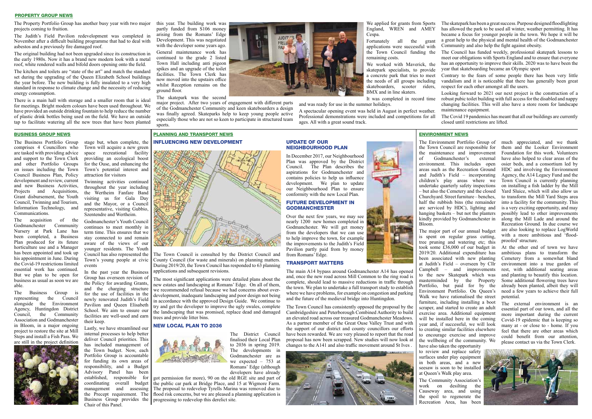The Property Portfolio Group has another busy year with two major projects coming to fruition.

The Judith's Field Pavilion redevelopment was completed in November after a difficult building programme that had to deal with asbestos and a previously fire damaged roof.

The original building had not been upgraded since its construction in the early 1980s. Now it has a brand new modern look with a metal roof, white rendered walls and bifold doors opening onto the field.

The kitchen and toilets are "state of the art" and match the standard set during the upgrading of the Queen Elizabeth School buildings the year before. The new building is fully insulated to a very high standard in response to climate change and the necessity of reducing energy consumption.

> major project. After two years of engagement with different parts of the Godmanchester Community and keen skateboarders a design was finally agreed. Skateparks help to keep young people active especially those who are not so keen to participate in structured team sports.

There is a main hall with storage and a smaller room that is ideal for meetings. Bright modern colours have been used throughout. We have provided an outside drinking fountain to help reduce the number of plastic drink bottles being used on the field. We have an outside tap to facilitate watering all the new trees that have been planted

this year. The building work was partly funded from S106 money arising from the Romans' Edge Development. This was negotiated with the developer some years ago.

General maintenance work has continued to the grade 2 listed Town Hall including anti pigeon spikes and an upgrade of the toilet facilities. The Town Clerk has now moved into the upstairs office whilst Reception remains on the ground floor.

The skatepark was the second

We applied for grants from Sports England, WREN and AMEY Cespa. Fortunately all the grant

applications were successful with the Town Council funding the remaining costs.

We worked with Maverick, the skatepark specialists, to provide a concrete park that tries to meet the needs of all groups including skateboarders, scooter riders, BMX and in line skaters.

It was completed in record time

and was ready for use in the summer holidays.

A spectacular opening event was held in August in perfect weather.



Professional demonstrations were included and competitions for all ages. All with a great sound track.

The skatepark has been a great success. Purpose designed floodlighting has allowed the park to be used all winter, weather permitting. It has became a focus for younger people in the town. We hope it will be a great help to the physical and mental health of the Godmanchester Community and also help the fight against obesity.

The Council has funded weekly, professional skatepark lessons to meet our obligations with Sports England and to ensure that everyone has an opportunity to improve their skills. 2020 was to have been the year that skateboarding became an Olympic sport

Contrary to the fears of some people there has been very little vandalism and it is noticeable that there has generally been great respect for each other amongst all the users.

Looking forward to 2021 our next project is the construction of a robust pubic toilet building with full access for the disabled and nappy changing facilities. This will also have a store room for landscape maintenance equipment.

The Covid 19 pandemics has meant that all our buildings are currently closed until restrictions are lifted.

### PROPERTY GROUP NEWS

The Business Portfolio Group comprises 4 Councillors who are tasked with providing advice and support to the Town Clerk and other Portfolio Groups on issues including the Town Council Business Plan, Policy development and review, current and new Business Activities, Projects and Acquisitions, Grant disbursement, the Youth Council, Twinning and Tourism, Information Technology, and Communications.

The acquisition of the Godmanchester Community Nursery at Park Lane has been completed, a Business Plan produced for its future horticulture use and a Manager has been appointed and took up his appointment in June. During the Covid-19 restrictions limited essential work has continued. But we plan to be open for business as usual as soon we are able.

The Business Group is representing the Council alongside the Environment Agency, Huntingdon District Council, the Community Association and Godmanchester in Bloom, in a major ongoing project to restore the site at Mill Steps and install a Fish Pass. We are still in the project definition



stage but, when complete, the Town will acquire a new green space recreational facility providing an ecological boost for the Ouse, and enhancing the Town's potential interest and attraction for visitors

Twinning activities continued throughout the year including the Wertheim Fanfare Band visiting us for Gala Day and the Mayor, or a Council representative, visiting Gubbio, Szentendre and Wertheim.

coordinating overall budget the public car park at Bridge Place, and 15 at Wigmore Farm. got permission for more), 90 on the old RGE site and part of The proposal to redevelop Tyrells Marina was removed due to flood risk concerns, but we are pleased a planning application is progressing to redevelop this derelict site.



Godmanchester's Youth Council continues to meet monthly in term time. This ensures that we stay connected to and remain aware of the views of our younger residents. The Youth Council has also represented the Town's young people at civic events

In the past year the Business Group has overseen revision of the Policy for awarding Grants, and the charging structure for the use of facilities in the newly renovated Judith's Field Pavilion and Queen Elisabeth School. We aim to ensure our facilities are well-used and earn their keep.

Lastly, we have streamlined our internal processes to help better deliver Council priorities. This has included management of the Town budget. Now, each Portfolio Group is accountable for funding its own areas of responsibility, and a Budget Advisory Panel has been established, responsible for management and assessing the Precept requirement. The Business Group provides the Chair of this Panel.

The Environment Portfolio Group of much appreciated, and we thank the Town Council are responsible for the maintenance and improvement of Godmanchester's external environment. This includes open areas such as the Recreation Ground and Judith's Field – incorporating children's play areas where we undertake quarterly safety inspections – but also the Cemetery and the closed Churchyard. Street furniture – benches, half the rubbish bins (the remainder are serviced by HDC), lighting and hanging baskets – but not the planters kindly provided by Godmanchester in Bloom.

The major part of our annual budget is spent on regular grass cutting, tree pruning and watering etc; this took some £36,000 of our budget in 2019/20. Additional expenditure has been associated with new planting Cemetery from a somewhat bland at Judith's Field – overseen by Cllr Campbell – and improvements to the new Skatepark which was masterminded by the Property Portfolio, but paid for by the already been planted, albeit they will Environment Portfolio. On Queen's Walk we have rationalised the street furniture, including installing a boot scraper, and started to create an adult exercise area. Additional equipment will be installed here in the coming year and, if successful, we will look to creating similar facilities elsewhere to encourage exercise and improve

the wellbeing of the community. We have also taken the opportunity to review and replace safety surfaces under play equipment in both areas, and a new seesaw is soon to be installed at Queen's Walk play area. The Community Association's work on desilting the Causeway area, and using the spoil to regenerate the Recreation Area, has been

### BUSINESS GROUP NEWS ENVIRONMENT NEWS PLANNING AND TRANSPORT NEWS INFLUENCING NEW DEVELOPMENT

them and the Looker Environment Foundation for this work. Volunteers have also helped to clear areas of the osier beds, and a consortium led by HDC and involving the Environment Agency, the A14 Legacy Fund and the Town Council is currently planning on installing a fish ladder by the Mill Yard Sluice, which will also allow us to transform the Mill Yard Steps area into a facility for the community. This is a very exciting opportunity, and may possibly lead to other improvements along the Mill Lade and around the Recreation Ground. In due course we are also looking to replace LogWorld with a more ambitious and 'floodproofed' structure.

At the other end of town we have ambitious plans to transform the environment into a true garden of rest, with additional seating areas and planting to beautify this location. Some additional flowering trees have need a few years to achieve their full potential.

The external environment is an essential part of our town, and all the more important during the current Covid-19 epidemic that is keeping so many at - or close to - home. If you feel that there are other areas which could benefit from our attention, please contact us via the Town Clerk.



The Town Council is consulted by the District Council and County Council (for waste and minerals) on planning matters. During 2019/20, the Town Council has responded to 63 planning applications and subsequent revisions.

The most significant applications were detailed plans about the new estates and landscaping at Romans' Edge. On all of them, we recommended refusal because we had concerns about overdevelopment, inadequate landscaping and poor design not being in accordance with the approved Design Guide. We continue to try and get the developer to improve the ugly swales, complete the landscaping that was promised, replace dead and damaged trees and provide litter bins.

### New Local Plan to 2036



The District Council finalised their Local Plan to 2036 in spring 2019. The developments in Godmanchester are as we expected  $-753$  at Romans' Edge (although developers have already

Update of our

**GODMANCHESTER** 

from Romans' Edge.

Neighbourhood Plan

In December 2017, our Neighbourhood Plan was approved by the District Council. The Plan describes the aspirations for Godmanchester and contains policies to help us influence development. We plan to update our Neighbourhood Plan to ensure conformity with the new Local Plan. Future Development in

Over the next few years, we may see nearly 1200 new homes completed in Godmanchester. We will get money from the developers that we can use to help improve the town, for example the improvements to the Judith's Field Pavilion partly paid from by money

Transport Matters

The main A14 bypass around Godmanchester A14 has opened and, once the new road across Mill Common to the ring road is complete, should lead to massive reductions in traffic through the town. We plan to undertake a full transport study to establish where we have problems, for example on congestion and parking and the future of the medieval bridge into Huntingdon.

The Town Council has consistently opposed the proposal by the Cambridgeshire and Peterborough Combined Authority to build an elevated road across our treasured Godmanchester Meadows. As a partner member of the Great Ouse Valley Trust and with the support of our district and county councillors our efforts have been rewarded. We are very pleased to report that the road proposal has now been scrapped. New studies will now look at changes to the A141 and also traffic movement around St Ives .